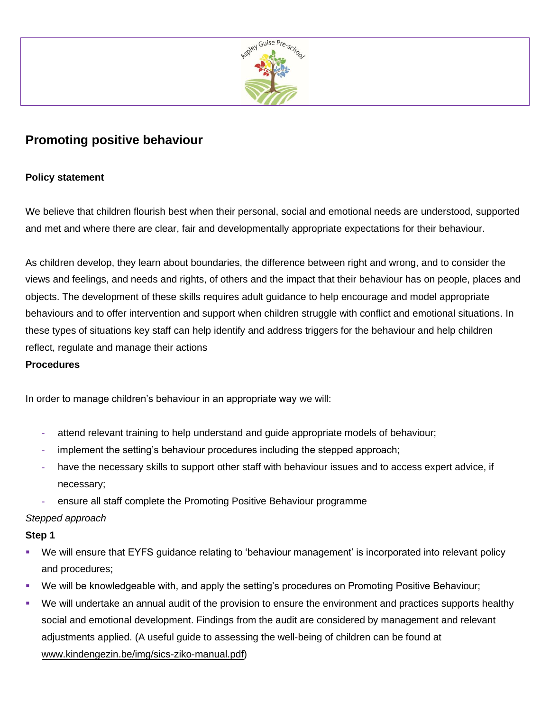

# **Promoting positive behaviour**

# **Policy statement**

We believe that children flourish best when their personal, social and emotional needs are understood, supported and met and where there are clear, fair and developmentally appropriate expectations for their behaviour.

As children develop, they learn about boundaries, the difference between right and wrong, and to consider the views and feelings, and needs and rights, of others and the impact that their behaviour has on people, places and objects. The development of these skills requires adult guidance to help encourage and model appropriate behaviours and to offer intervention and support when children struggle with conflict and emotional situations. In these types of situations key staff can help identify and address triggers for the behaviour and help children reflect, regulate and manage their actions

## **Procedures**

In order to manage children's behaviour in an appropriate way we will:

- **-** attend relevant training to help understand and guide appropriate models of behaviour;
- **-** implement the setting's behaviour procedures including the stepped approach;
- **-** have the necessary skills to support other staff with behaviour issues and to access expert advice, if necessary;
- **-** ensure all staff complete the Promoting Positive Behaviour programme

## *Stepped approach*

## **Step 1**

- We will ensure that EYFS guidance relating to 'behaviour management' is incorporated into relevant policy and procedures;
- We will be knowledgeable with, and apply the setting's procedures on Promoting Positive Behaviour;
- We will undertake an annual audit of the provision to ensure the environment and practices supports healthy social and emotional development. Findings from the audit are considered by management and relevant adjustments applied. (A useful guide to assessing the well-being of children can be found at [www.kindengezin.be/img/sics-ziko-manual.pdf\)](http://www.kindengezin.be/img/sics-ziko-manual.pdf)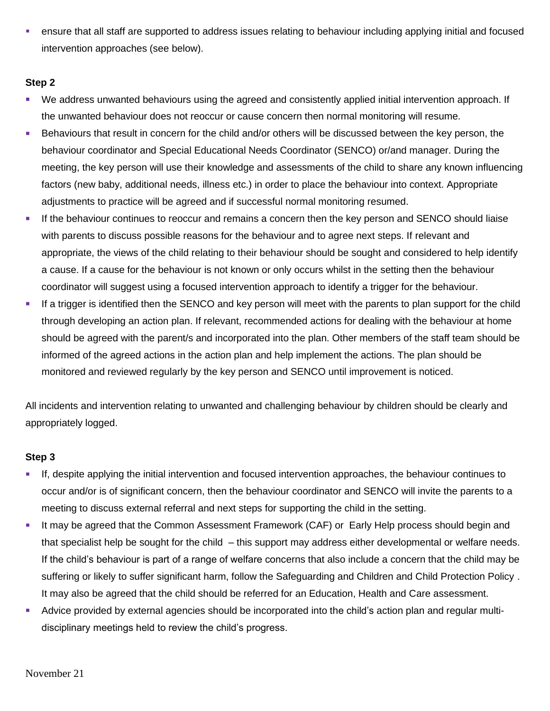**•** ensure that all staff are supported to address issues relating to behaviour including applying initial and focused intervention approaches (see below).

## **Step 2**

- We address unwanted behaviours using the agreed and consistently applied initial intervention approach. If the unwanted behaviour does not reoccur or cause concern then normal monitoring will resume.
- Behaviours that result in concern for the child and/or others will be discussed between the key person, the behaviour coordinator and Special Educational Needs Coordinator (SENCO) or/and manager. During the meeting, the key person will use their knowledge and assessments of the child to share any known influencing factors (new baby, additional needs, illness etc.) in order to place the behaviour into context. Appropriate adjustments to practice will be agreed and if successful normal monitoring resumed.
- **.** If the behaviour continues to reoccur and remains a concern then the key person and SENCO should liaise with parents to discuss possible reasons for the behaviour and to agree next steps. If relevant and appropriate, the views of the child relating to their behaviour should be sought and considered to help identify a cause. If a cause for the behaviour is not known or only occurs whilst in the setting then the behaviour coordinator will suggest using a focused intervention approach to identify a trigger for the behaviour.
- **■** If a trigger is identified then the SENCO and key person will meet with the parents to plan support for the child through developing an action plan. If relevant, recommended actions for dealing with the behaviour at home should be agreed with the parent/s and incorporated into the plan. Other members of the staff team should be informed of the agreed actions in the action plan and help implement the actions. The plan should be monitored and reviewed regularly by the key person and SENCO until improvement is noticed.

All incidents and intervention relating to unwanted and challenging behaviour by children should be clearly and appropriately logged.

#### **Step 3**

- If, despite applying the initial intervention and focused intervention approaches, the behaviour continues to occur and/or is of significant concern, then the behaviour coordinator and SENCO will invite the parents to a meeting to discuss external referral and next steps for supporting the child in the setting.
- **EXT** It may be agreed that the Common Assessment Framework (CAF) or Early Help process should begin and that specialist help be sought for the child – this support may address either developmental or welfare needs. If the child's behaviour is part of a range of welfare concerns that also include a concern that the child may be suffering or likely to suffer significant harm, follow the Safeguarding and Children and Child Protection Policy . It may also be agreed that the child should be referred for an Education, Health and Care assessment.
- Advice provided by external agencies should be incorporated into the child's action plan and regular multidisciplinary meetings held to review the child's progress.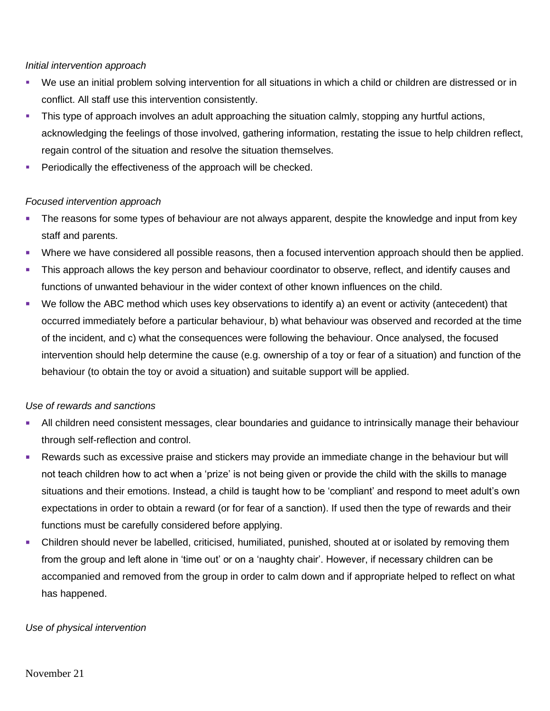#### *Initial intervention approach*

- We use an initial problem solving intervention for all situations in which a child or children are distressed or in conflict. All staff use this intervention consistently.
- **EXTH** This type of approach involves an adult approaching the situation calmly, stopping any hurtful actions, acknowledging the feelings of those involved, gathering information, restating the issue to help children reflect, regain control of the situation and resolve the situation themselves.
- **•** Periodically the effectiveness of the approach will be checked.

# *Focused intervention approach*

- **The reasons for some types of behaviour are not always apparent, despite the knowledge and input from key** staff and parents.
- Where we have considered all possible reasons, then a focused intervention approach should then be applied.
- **EXT** This approach allows the key person and behaviour coordinator to observe, reflect, and identify causes and functions of unwanted behaviour in the wider context of other known influences on the child.
- We follow the ABC method which uses key observations to identify a) an event or activity (antecedent) that occurred immediately before a particular behaviour, b) what behaviour was observed and recorded at the time of the incident, and c) what the consequences were following the behaviour. Once analysed, the focused intervention should help determine the cause (e.g. ownership of a toy or fear of a situation) and function of the behaviour (to obtain the toy or avoid a situation) and suitable support will be applied.

## *Use of rewards and sanctions*

- **EXT All children need consistent messages, clear boundaries and guidance to intrinsically manage their behaviour** through self-reflection and control.
- Rewards such as excessive praise and stickers may provide an immediate change in the behaviour but will not teach children how to act when a 'prize' is not being given or provide the child with the skills to manage situations and their emotions. Instead, a child is taught how to be 'compliant' and respond to meet adult's own expectations in order to obtain a reward (or for fear of a sanction). If used then the type of rewards and their functions must be carefully considered before applying.
- **•** Children should never be labelled, criticised, humiliated, punished, shouted at or isolated by removing them from the group and left alone in 'time out' or on a 'naughty chair'. However, if necessary children can be accompanied and removed from the group in order to calm down and if appropriate helped to reflect on what has happened.

## *Use of physical intervention*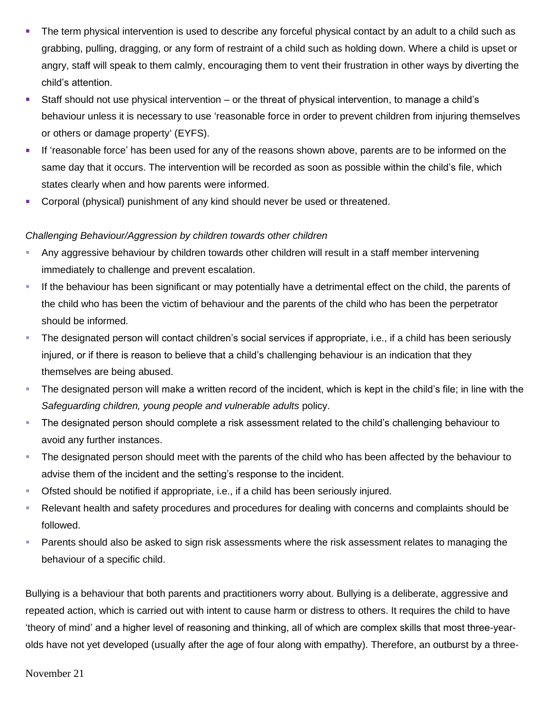- The term physical intervention is used to describe any forceful physical contact by an adult to a child such as grabbing, pulling, dragging, or any form of restraint of a child such as holding down. Where a child is upset or angry, staff will speak to them calmly, encouraging them to vent their frustration in other ways by diverting the child's attention.
- Staff should not use physical intervention or the threat of physical intervention, to manage a child's behaviour unless it is necessary to use 'reasonable force in order to prevent children from injuring themselves or others or damage property' (EYFS).
- **EXECT** If 'reasonable force' has been used for any of the reasons shown above, parents are to be informed on the same day that it occurs. The intervention will be recorded as soon as possible within the child's file, which states clearly when and how parents were informed.
- **Corporal (physical) punishment of any kind should never be used or threatened.**

### *Challenging Behaviour/Aggression by children towards other children*

- Any aggressive behaviour by children towards other children will result in a staff member intervening immediately to challenge and prevent escalation.
- If the behaviour has been significant or may potentially have a detrimental effect on the child, the parents of the child who has been the victim of behaviour and the parents of the child who has been the perpetrator should be informed.
- The designated person will contact children's social services if appropriate, i.e., if a child has been seriously injured, or if there is reason to believe that a child's challenging behaviour is an indication that they themselves are being abused.
- **The designated person will make a written record of the incident, which is kept in the child's file; in line with the** *Safeguarding children, young people and vulnerable adults* policy.
- **The designated person should complete a risk assessment related to the child's challenging behaviour to** avoid any further instances.
- The designated person should meet with the parents of the child who has been affected by the behaviour to advise them of the incident and the setting's response to the incident.
- Ofsted should be notified if appropriate, i.e., if a child has been seriously injured.
- Relevant health and safety procedures and procedures for dealing with concerns and complaints should be followed.
- **EXECT** Parents should also be asked to sign risk assessments where the risk assessment relates to managing the behaviour of a specific child.

Bullying is a behaviour that both parents and practitioners worry about. Bullying is a deliberate, aggressive and repeated action, which is carried out with intent to cause harm or distress to others. It requires the child to have 'theory of mind' and a higher level of reasoning and thinking, all of which are complex skills that most three-yearolds have not yet developed (usually after the age of four along with empathy). Therefore, an outburst by a three